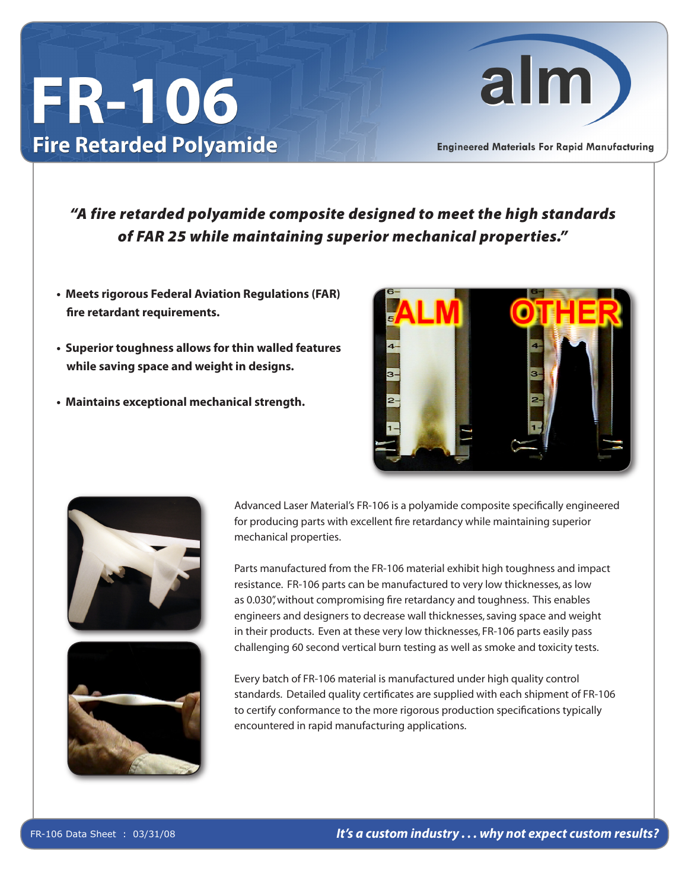## **FR-106 Fire Retarded Polyamide**



**Engineered Materials For Rapid Manufacturing** 

## *"A fire retarded polyamide composite designed to meet the high standards of FAR 25 while maintaining superior mechanical properties."*

- **Meets rigorous Federal Aviation Regulations (FAR) fire retardant requirements.**
- **Superior toughness allows for thin walled features while saving space and weight in designs.**
- **Maintains exceptional mechanical strength.**







Advanced Laser Material's FR-106 is a polyamide composite specifically engineered for producing parts with excellent fire retardancy while maintaining superior mechanical properties.

Parts manufactured from the FR-106 material exhibit high toughness and impact resistance. FR-106 parts can be manufactured to very low thicknesses, as low as 0.030", without compromising fire retardancy and toughness. This enables engineers and designers to decrease wall thicknesses, saving space and weight in their products. Even at these very low thicknesses, FR-106 parts easily pass challenging 60 second vertical burn testing as well as smoke and toxicity tests.

Every batch of FR-106 material is manufactured under high quality control standards. Detailed quality certificates are supplied with each shipment of FR-106 to certify conformance to the more rigorous production specifications typically encountered in rapid manufacturing applications.